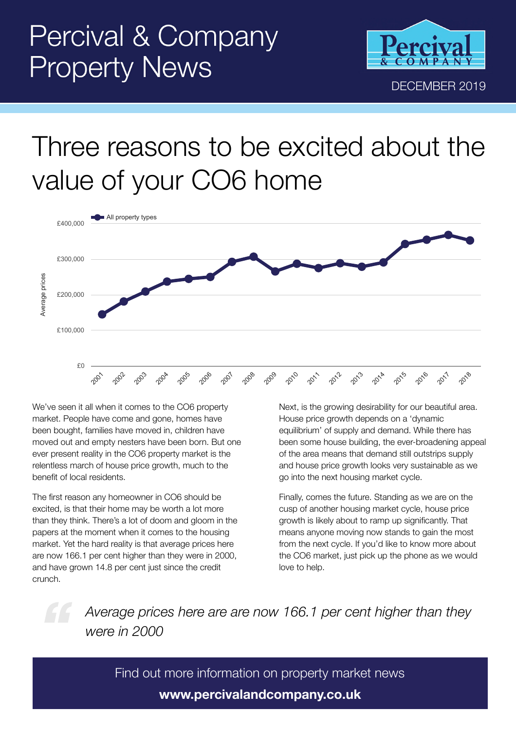

## Three reasons to be excited about the value of your CO6 home



We've seen it all when it comes to the CO6 property market. People have come and gone, homes have been bought, families have moved in, children have moved out and empty nesters have been born. But one ever present reality in the CO6 property market is the relentless march of house price growth, much to the benefit of local residents.

The first reason any homeowner in CO6 should be excited, is that their home may be worth a lot more than they think. There's a lot of doom and gloom in the papers at the moment when it comes to the housing market. Yet the hard reality is that average prices here are now 166.1 per cent higher than they were in 2000, and have grown 14.8 per cent just since the credit crunch.

Next, is the growing desirability for our beautiful area. House price growth depends on a 'dynamic equilibrium' of supply and demand. While there has been some house building, the ever-broadening appeal of the area means that demand still outstrips supply and house price growth looks very sustainable as we go into the next housing market cycle.

Finally, comes the future. Standing as we are on the cusp of another housing market cycle, house price growth is likely about to ramp up significantly. That means anyone moving now stands to gain the most from the next cycle. If you'd like to know more about the CO6 market, just pick up the phone as we would love to help.

*Average prices here are are now 166.1 per cent higher than they were in 2000*

Find out more information on property market news **www.percivalandcompany.co.uk**